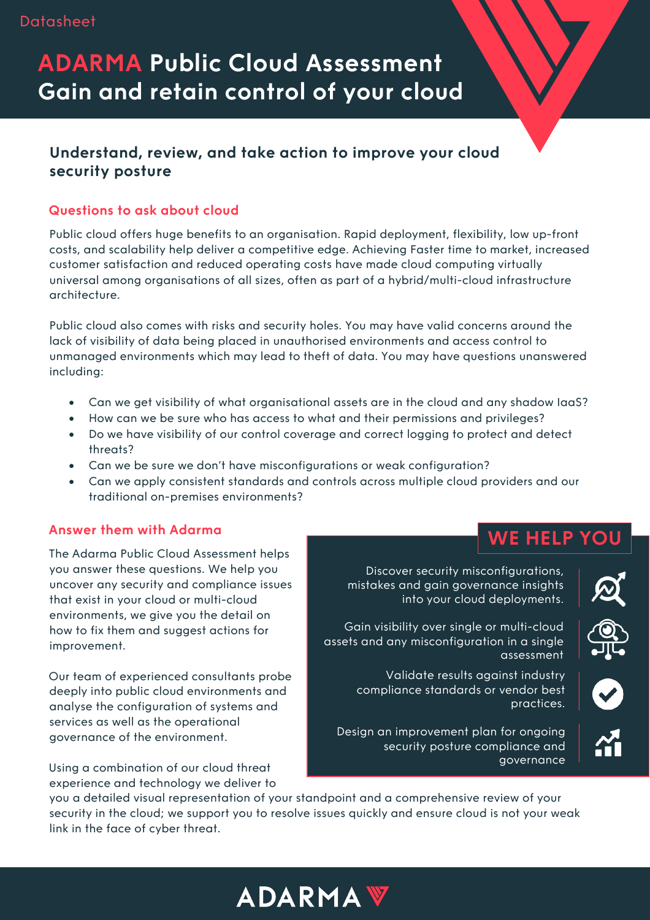## **ADARMA Public Cloud Assessment Gain and retain control of your cloud**

### **Understand, review, and take action to improve your cloud security posture**

#### **Questions to ask about cloud**

Public cloud offers huge benefits to an organisation. Rapid deployment, flexibility, low up-front costs, and scalability help deliver a competitive edge. Achieving Faster time to market, increased customer satisfaction and reduced operating costs have made cloud computing virtually universal among organisations of all sizes, often as part of a hybrid/multi-cloud infrastructure architecture.

Public cloud also comes with risks and security holes. You may have valid concerns around the lack of visibility of data being placed in unauthorised environments and access control to unmanaged environments which may lead to theft of data. You may have questions unanswered including:

- Can we get visibility of what organisational assets are in the cloud and any shadow IaaS?
- How can we be sure who has access to what and their permissions and privileges?
- Do we have visibility of our control coverage and correct logging to protect and detect threats?
- Can we be sure we don't have misconfigurations or weak configuration?
- Can we apply consistent standards and controls across multiple cloud providers and our traditional on-premises environments?

#### **Answer them with Adarma**

The Adarma Public Cloud Assessment helps you answer these questions. We help you uncover any security and compliance issues that exist in your cloud or multi-cloud environments, we give you the detail on how to fix them and suggest actions for improvement.

Our team of experienced consultants probe deeply into public cloud environments and analyse the configuration of systems and services as well as the operational governance of the environment.

Using a combination of our cloud threat experience and technology we deliver to

Discover security misconfigurations, mistakes and gain governance insights into your cloud deployments.

**WE HELP** 



Gain visibility over single or multi-cloud assets and any misconfiguration in a single assessment

Validate results against industry compliance standards or vendor best practices.

Design an improvement plan for ongoing security posture compliance and governance

you a detailed visual representation of your standpoint and a comprehensive review of your security in the cloud; we support you to resolve issues quickly and ensure cloud is not your weak link in the face of cyber threat.